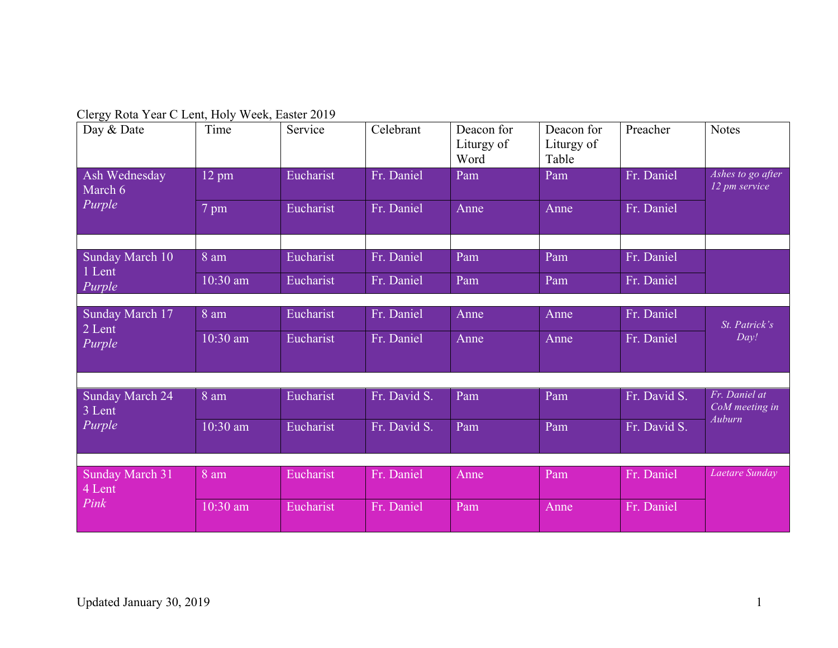Clergy Rota Year C Lent, Holy Week, Easter 2019

| Day & Date                       | Time            | Service   | Celebrant    | Deacon for<br>Liturgy of<br>Word | Deacon for<br>Liturgy of<br>Table | Preacher     | <b>Notes</b>                       |
|----------------------------------|-----------------|-----------|--------------|----------------------------------|-----------------------------------|--------------|------------------------------------|
| Ash Wednesday<br>March 6         | $12 \text{ pm}$ | Eucharist | Fr. Daniel   | Pam                              | Pam                               | Fr. Daniel   | Ashes to go after<br>12 pm service |
| Purple                           | 7 pm            | Eucharist | Fr. Daniel   | Anne                             | Anne                              | Fr. Daniel   |                                    |
|                                  |                 |           |              |                                  |                                   |              |                                    |
| Sunday March 10<br>1 Lent        | 8 am            | Eucharist | Fr. Daniel   | Pam                              | Pam                               | Fr. Daniel   |                                    |
| Purple                           | 10:30 am        | Eucharist | Fr. Daniel   | Pam                              | Pam                               | Fr. Daniel   |                                    |
|                                  |                 |           |              |                                  |                                   |              |                                    |
| Sunday March 17<br>2 Lent        | 8 am            | Eucharist | Fr. Daniel   | Anne                             | Anne                              | Fr. Daniel   | St. Patrick's                      |
| Purple                           | 10:30 am        | Eucharist | Fr. Daniel   | Anne                             | Anne                              | Fr. Daniel   | Day!                               |
|                                  |                 |           |              |                                  |                                   |              |                                    |
| <b>Sunday March 24</b><br>3 Lent | 8 am            | Eucharist | Fr. David S. | Pam                              | Pam                               | Fr. David S. | Fr. Daniel at<br>CoM meeting in    |
| Purple                           | 10:30 am        | Eucharist | Fr. David S. | Pam                              | Pam                               | Fr. David S. | Auburn                             |
|                                  |                 |           |              |                                  |                                   |              |                                    |
| <b>Sunday March 31</b><br>4 Lent | 8 am            | Eucharist | Fr. Daniel   | Anne                             | Pam                               | Fr. Daniel   | Laetare Sunday                     |
| Pink                             | 10:30 am        | Eucharist | Fr. Daniel   | Pam                              | Anne                              | Fr. Daniel   |                                    |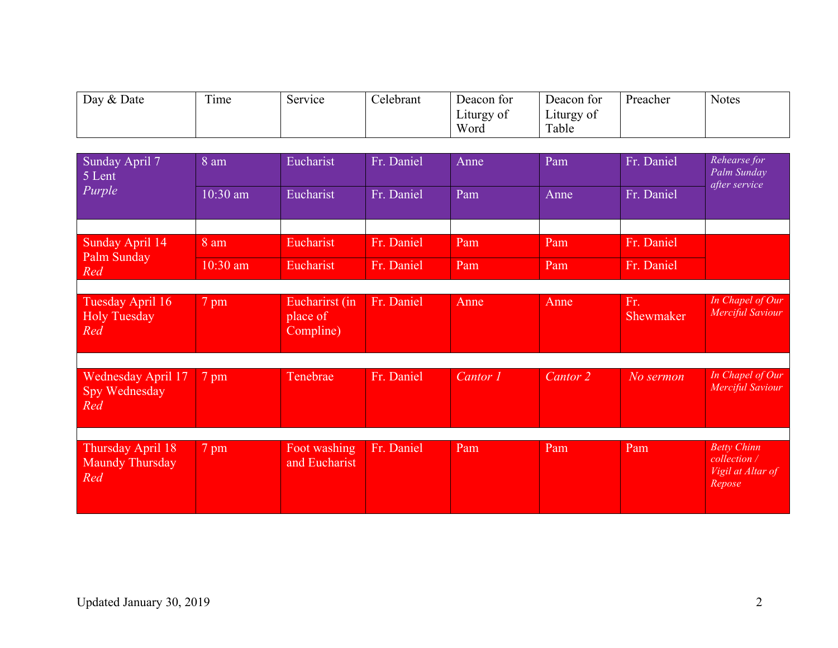| Day & Date | $\mathbf{m}$ .<br>ime | Service | Celebrant | Deacon for         | Deacon for          | Preacher | <b>Notes</b> |
|------------|-----------------------|---------|-----------|--------------------|---------------------|----------|--------------|
|            |                       |         |           | Liturgy of<br>Word | Liturgy of<br>Table |          |              |
|            |                       |         |           |                    |                     |          |              |

| Sunday April 7<br>5 Lent                           | 8 am       | Eucharist                               | Fr. Daniel | Anne     | Pam                 | Fr. Daniel       | Rehearse for<br>Palm Sunday<br>after service                      |
|----------------------------------------------------|------------|-----------------------------------------|------------|----------|---------------------|------------------|-------------------------------------------------------------------|
| Purple                                             | $10:30$ am | Eucharist                               | Fr. Daniel | Pam      | Anne                | Fr. Daniel       |                                                                   |
|                                                    |            |                                         |            |          |                     |                  |                                                                   |
| Sunday April 14<br>Palm Sunday                     | 8 am       | Eucharist                               | Fr. Daniel | Pam      | Pam                 | Fr. Daniel       |                                                                   |
| Red                                                | $10:30$ am | Eucharist                               | Fr. Daniel | Pam      | Pam                 | Fr. Daniel       |                                                                   |
|                                                    |            |                                         |            |          |                     |                  |                                                                   |
| Tuesday April 16<br><b>Holy Tuesday</b><br>Red     | 7 pm       | Eucharirst (in<br>place of<br>Compline) | Fr. Daniel | Anne     | Anne                | Fr.<br>Shewmaker | In Chapel of Our<br>Merciful Saviour                              |
|                                                    |            |                                         |            |          |                     |                  |                                                                   |
| <b>Wednesday April 17</b><br>Spy Wednesday<br>Red  | 7 pm       | Tenebrae                                | Fr. Daniel | Cantor 1 | Cantor <sub>2</sub> | No sermon        | In Chapel of Our<br>Merciful Saviour                              |
|                                                    |            |                                         |            |          |                     |                  |                                                                   |
| Thursday April 18<br><b>Maundy Thursday</b><br>Red | 7 pm       | Foot washing<br>and Eucharist           | Fr. Daniel | Pam      | Pam                 | Pam              | <b>Betty Chinn</b><br>collection /<br>Vigil at Altar of<br>Repose |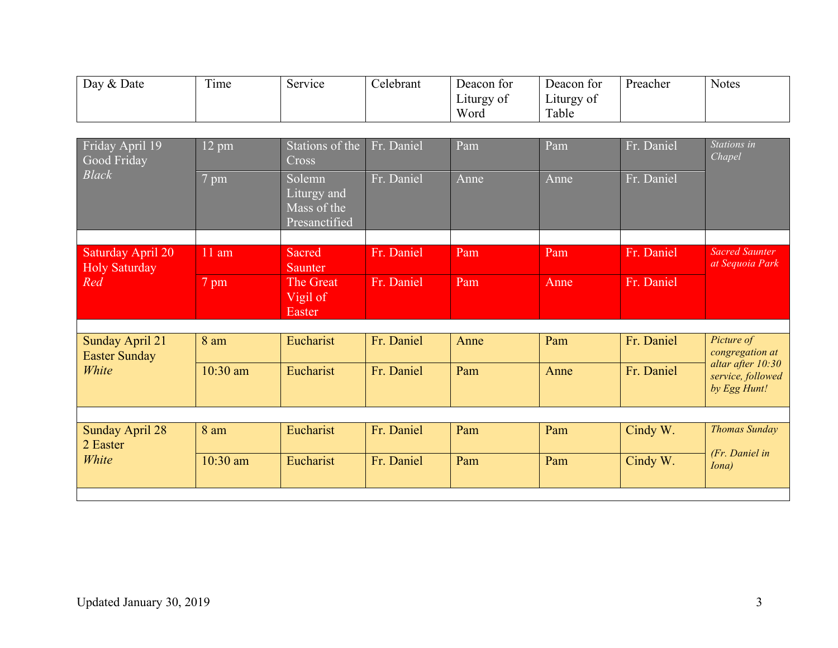| Day & Date | $\mathbf{r}$<br><sub>1</sub> me | Service | Celebrant | Deacon for         | Deacon for          | Preacher | <b>Notes</b> |
|------------|---------------------------------|---------|-----------|--------------------|---------------------|----------|--------------|
|            |                                 |         |           | Liturgy of<br>Word | Liturgy of<br>Table |          |              |

| Friday April 19<br>Good Friday<br><b>Black</b> | $12 \text{ pm}$ | Stations of the<br>Cross                              | Fr. Daniel | Pam  | Pam  | Fr. Daniel | Stations in<br>Chapel                                  |
|------------------------------------------------|-----------------|-------------------------------------------------------|------------|------|------|------------|--------------------------------------------------------|
|                                                | 7 pm            | Solemn<br>Liturgy and<br>Mass of the<br>Presanctified | Fr. Daniel | Anne | Anne | Fr. Daniel |                                                        |
|                                                |                 |                                                       |            |      |      |            |                                                        |
| Saturday April 20<br><b>Holy Saturday</b>      | $11$ am         | Sacred<br><b>Saunter</b>                              | Fr. Daniel | Pam  | Pam  | Fr. Daniel | <b>Sacred Saunter</b><br>at Sequoia Park               |
| Red                                            | 7 pm            | The Great<br>Vigil of                                 | Fr. Daniel | Pam  | Anne | Fr. Daniel |                                                        |
|                                                |                 | Easter                                                |            |      |      |            |                                                        |
|                                                |                 |                                                       |            |      |      |            |                                                        |
| <b>Sunday April 21</b><br><b>Easter Sunday</b> | 8 am            | Eucharist                                             | Fr. Daniel | Anne | Pam  | Fr. Daniel | Picture of<br>congregation at                          |
| White                                          | $10:30$ am      | Eucharist                                             | Fr. Daniel | Pam  | Anne | Fr. Daniel | altar after 10:30<br>service, followed<br>by Egg Hunt! |
|                                                |                 |                                                       |            |      |      |            |                                                        |
| <b>Sunday April 28</b><br>2 Easter             | 8 am            | Eucharist                                             | Fr. Daniel | Pam  | Pam  | Cindy W.   | <b>Thomas Sunday</b>                                   |
| White                                          | $10:30$ am      | Eucharist                                             | Fr. Daniel | Pam  | Pam  | Cindy W.   | (Fr. Daniel in<br><i>Iona</i> )                        |
|                                                |                 |                                                       |            |      |      |            |                                                        |